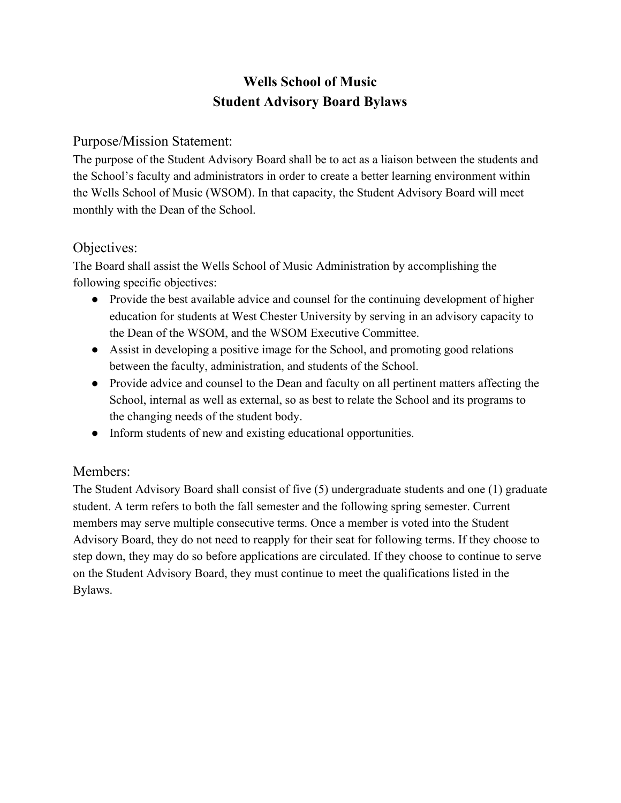# **Wells School of Music Student Advisory Board Bylaws**

### Purpose/Mission Statement:

The purpose of the Student Advisory Board shall be to act as a liaison between the students and the School's faculty and administrators in order to create a better learning environment within the Wells School of Music (WSOM). In that capacity, the Student Advisory Board will meet monthly with the Dean of the School.

### Objectives:

The Board shall assist the Wells School of Music Administration by accomplishing the following specific objectives:

- Provide the best available advice and counsel for the continuing development of higher education for students at West Chester University by serving in an advisory capacity to the Dean of the WSOM, and the WSOM Executive Committee.
- Assist in developing a positive image for the School, and promoting good relations between the faculty, administration, and students of the School.
- Provide advice and counsel to the Dean and faculty on all pertinent matters affecting the School, internal as well as external, so as best to relate the School and its programs to the changing needs of the student body.
- Inform students of new and existing educational opportunities.

### Members:

The Student Advisory Board shall consist of five (5) undergraduate students and one (1) graduate student. A term refers to both the fall semester and the following spring semester. Current members may serve multiple consecutive terms. Once a member is voted into the Student Advisory Board, they do not need to reapply for their seat for following terms. If they choose to step down, they may do so before applications are circulated. If they choose to continue to serve on the Student Advisory Board, they must continue to meet the qualifications listed in the Bylaws.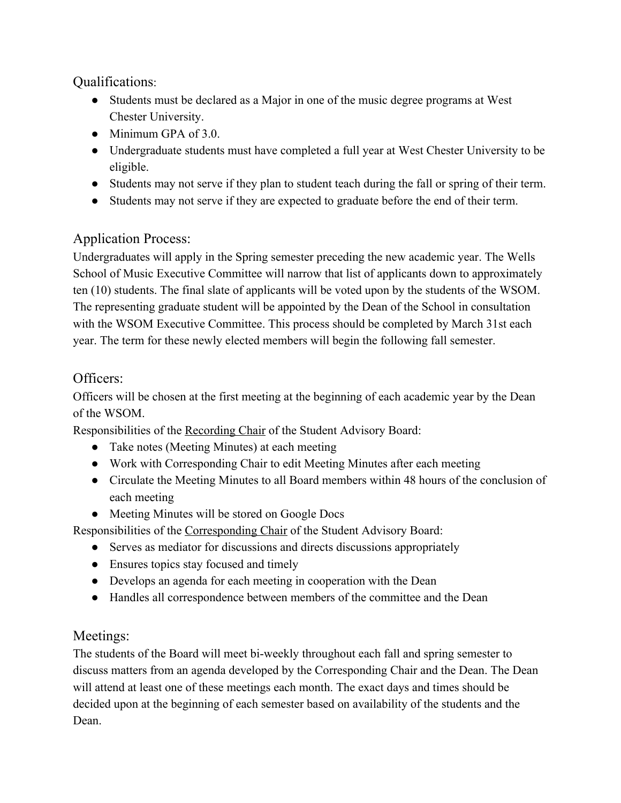## Qualifications:

- Students must be declared as a Major in one of the music degree programs at West Chester University.
- Minimum GPA of 3.0.
- Undergraduate students must have completed a full year at West Chester University to be eligible.
- Students may not serve if they plan to student teach during the fall or spring of their term.
- Students may not serve if they are expected to graduate before the end of their term.

# Application Process:

Undergraduates will apply in the Spring semester preceding the new academic year. The Wells School of Music Executive Committee will narrow that list of applicants down to approximately ten (10) students. The final slate of applicants will be voted upon by the students of the WSOM. The representing graduate student will be appointed by the Dean of the School in consultation with the WSOM Executive Committee. This process should be completed by March 31st each year. The term for these newly elected members will begin the following fall semester.

## Officers:

Officers will be chosen at the first meeting at the beginning of each academic year by the Dean of the WSOM.

Responsibilities of the Recording Chair of the Student Advisory Board:

- Take notes (Meeting Minutes) at each meeting
- Work with Corresponding Chair to edit Meeting Minutes after each meeting
- Circulate the Meeting Minutes to all Board members within 48 hours of the conclusion of each meeting
- Meeting Minutes will be stored on Google Docs

Responsibilities of the Corresponding Chair of the Student Advisory Board:

- Serves as mediator for discussions and directs discussions appropriately
- Ensures topics stay focused and timely
- Develops an agenda for each meeting in cooperation with the Dean
- Handles all correspondence between members of the committee and the Dean

### Meetings:

The students of the Board will meet bi-weekly throughout each fall and spring semester to discuss matters from an agenda developed by the Corresponding Chair and the Dean. The Dean will attend at least one of these meetings each month. The exact days and times should be decided upon at the beginning of each semester based on availability of the students and the Dean.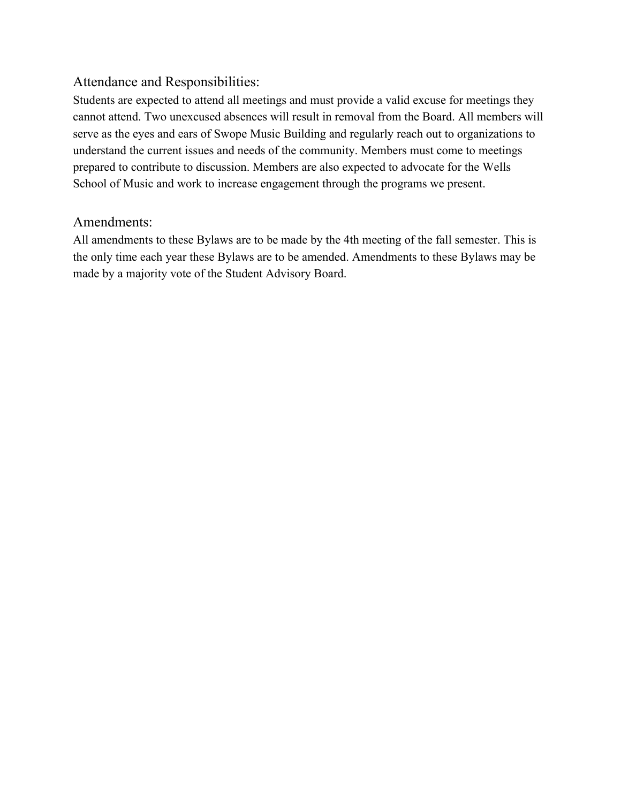### Attendance and Responsibilities:

Students are expected to attend all meetings and must provide a valid excuse for meetings they cannot attend. Two unexcused absences will result in removal from the Board. All members will serve as the eyes and ears of Swope Music Building and regularly reach out to organizations to understand the current issues and needs of the community. Members must come to meetings prepared to contribute to discussion. Members are also expected to advocate for the Wells School of Music and work to increase engagement through the programs we present.

#### Amendments:

All amendments to these Bylaws are to be made by the 4th meeting of the fall semester. This is the only time each year these Bylaws are to be amended. Amendments to these Bylaws may be made by a majority vote of the Student Advisory Board.